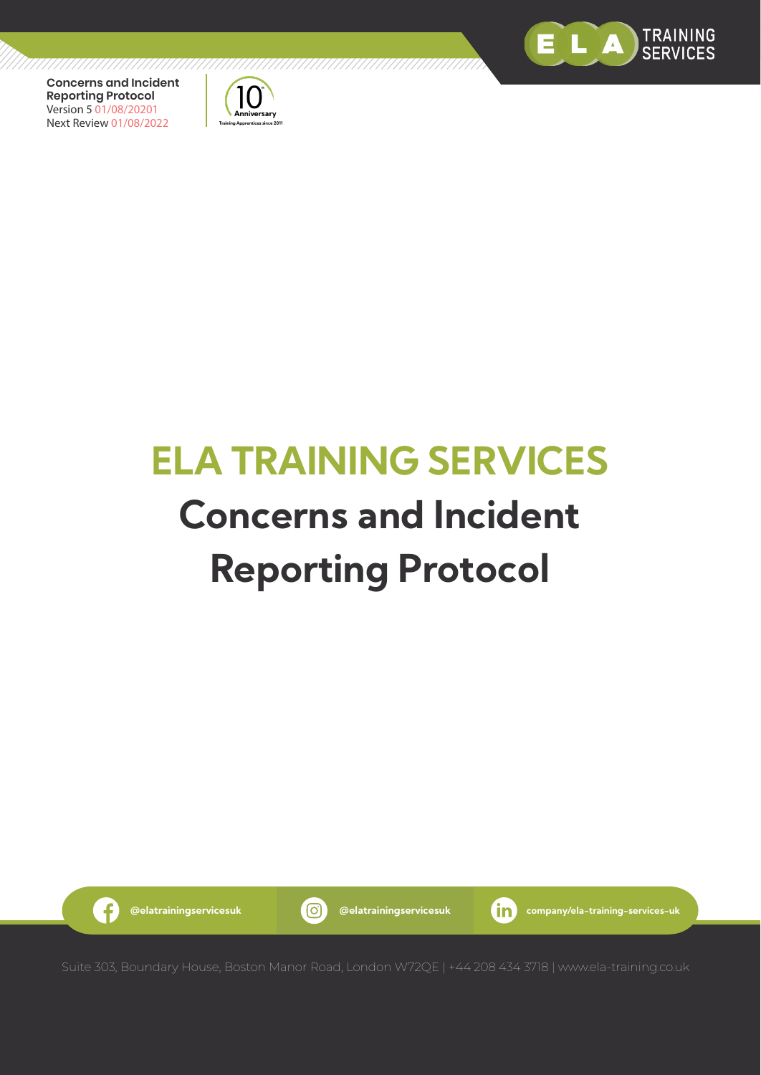



# **ELA TRAINING SERVICES Concerns and Incident Reporting Protocol**

,,,,,,,,,,,,,,,,,,,,,,,,,,,,,

6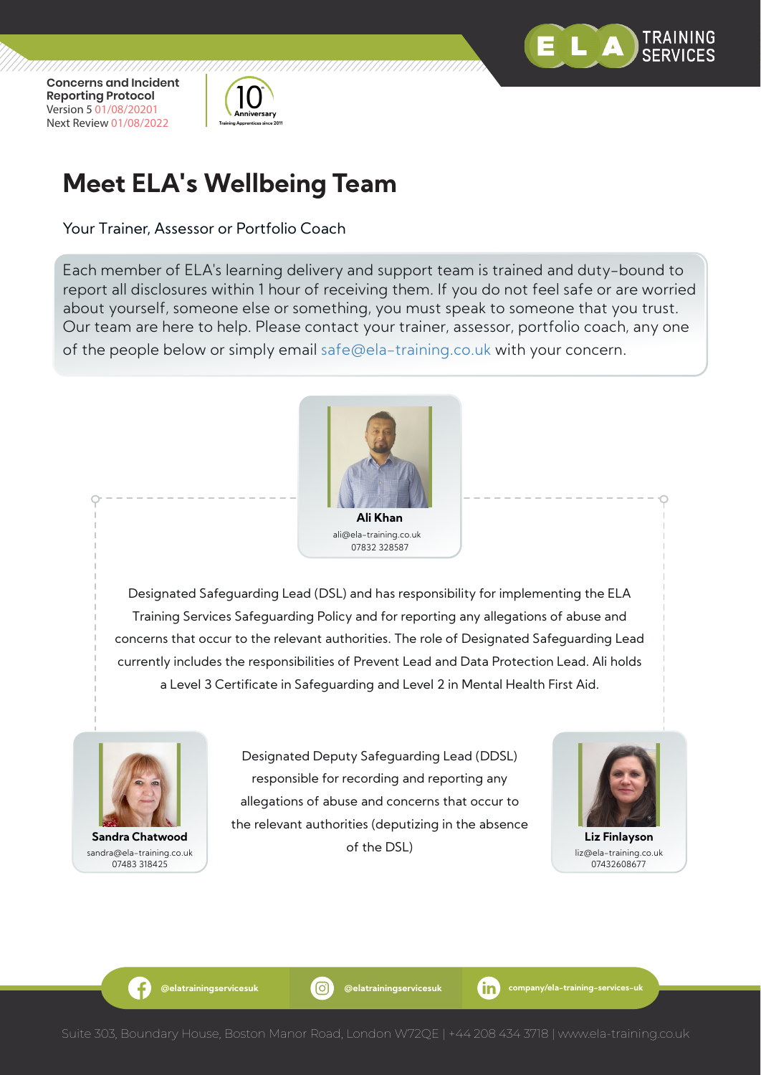



# **Meet ELA's Wellbeing Team**

Your Trainer, Assessor or Portfolio Coach

Each member of ELA's learning delivery and support team is trained and duty-bound to report all disclosures within 1 hour of receiving them. If you do not feel safe or are worried about yourself, someone else or something, you must speak to someone that you trust. Our team are here to help. Please contact your trainer, assessor, portfolio coach, any one of the people below or simply email safe@ela-training.co.uk with your concern.



ali@ela-training.co.uk 07832 328587

Designated Safeguarding Lead (DSL) and has responsibility for implementing the ELA Training Services Safeguarding Policy and for reporting any allegations of abuse and concerns that occur to the relevant authorities. The role of Designated Safeguarding Lead currently includes the responsibilities of Prevent Lead and Data Protection Lead. Ali holds a Level 3 Certificate in Safeguarding and Level 2 in Mental Health First Aid.



sandra@ela-training.co.uk 07483 318425

Designated Deputy Safeguarding Lead (DDSL) responsible for recording and reporting any allegations of abuse and concerns that occur to the relevant authorities (deputizing in the absence of the DSL) **Sandra Chatwood Liz Finlayson**



liz@ela-training.co.uk 07432608677

Æ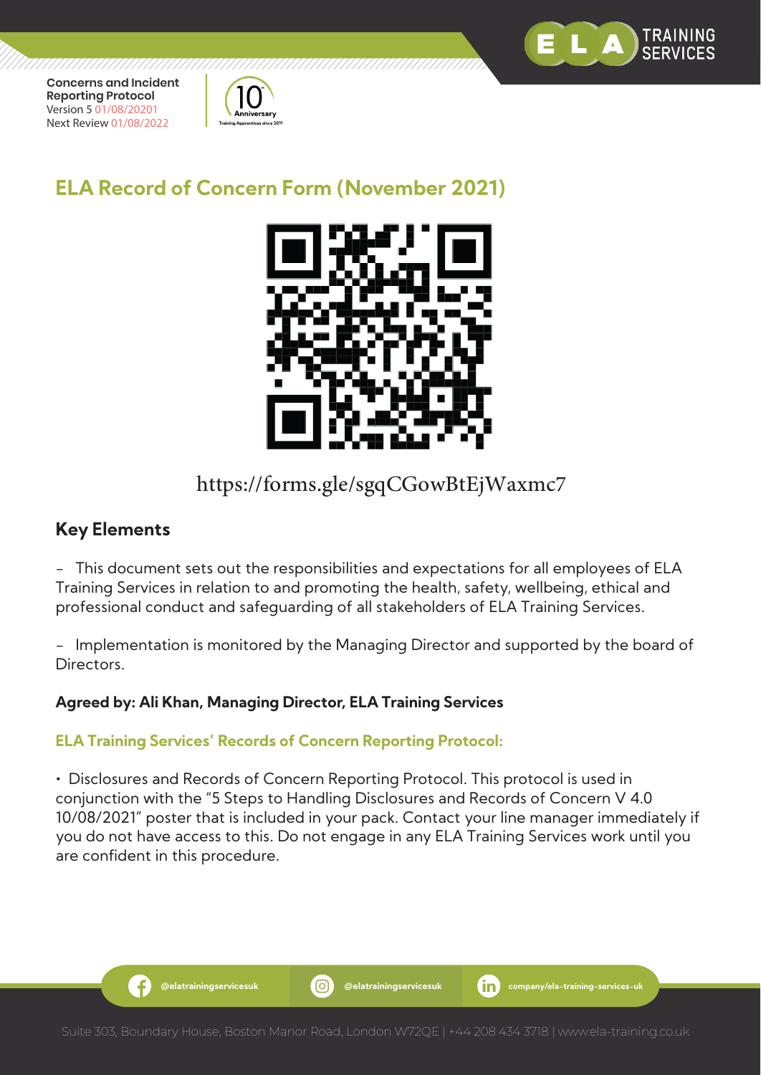



## **ELA Record of Concern Form (November 2021)**



## https://forms.gle/sgqCGowBtEjWaxmc7

### **Key Elements**

Æ

- This document sets out the responsibilities and expectations for all employees of ELA Training Services in relation to and promoting the health, safety, wellbeing, ethical and professional conduct and safeguarding of all stakeholders of ELA Training Services.

- Implementation is monitored by the Managing Director and supported by the board of Directors.

#### **Agreed by: Ali Khan, Managing Director, ELA Training Services**

#### **ELA Training Services' Records of Concern Reporting Protocol:**

• Disclosures and Records of Concern Reporting Protocol. This protocol is used in conjunction with the "5 Steps to Handling Disclosures and Records of Concern V 4.0 10/08/2021" poster that is included in your pack. Contact your line manager immediately if you do not have access to this. Do not engage in any ELA Training Services work until you are confident in this procedure.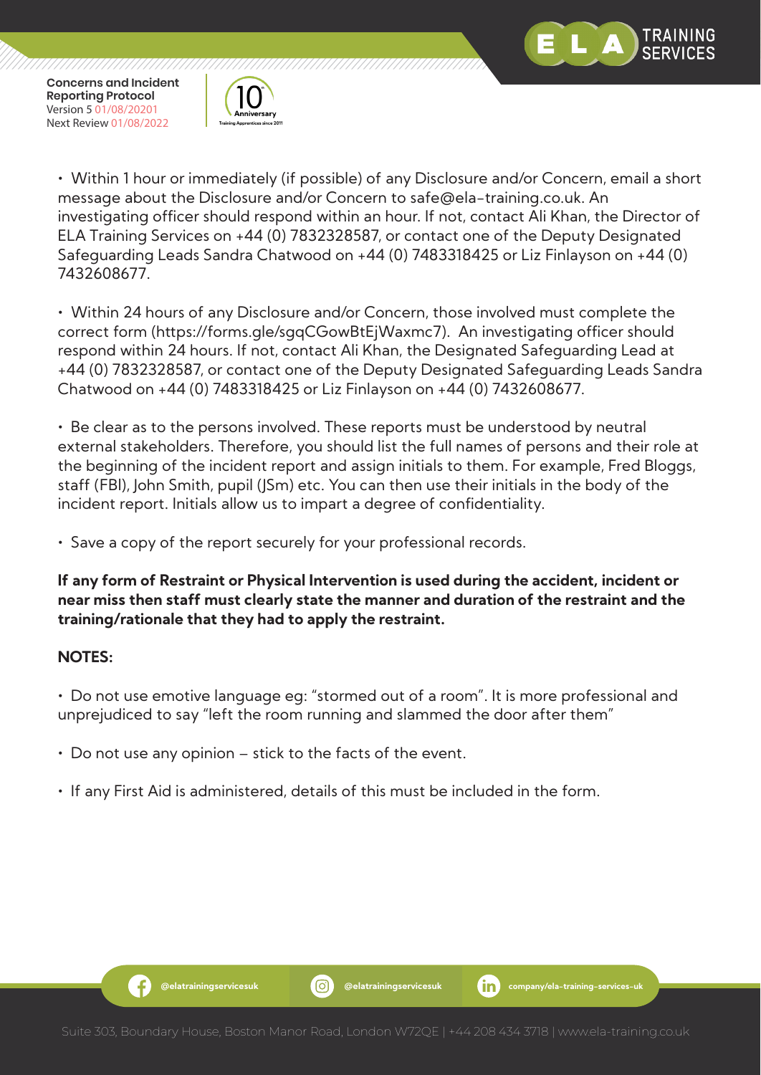



• Within 1 hour or immediately (if possible) of any Disclosure and/or Concern, email a short message about the Disclosure and/or Concern to safe@ela-training.co.uk. An investigating officer should respond within an hour. If not, contact Ali Khan, the Director of ELA Training Services on +44 (0) 7832328587, or contact one of the Deputy Designated Safeguarding Leads Sandra Chatwood on +44 (0) 7483318425 or Liz Finlayson on +44 (0) 7432608677.

• Within 24 hours of any Disclosure and/or Concern, those involved must complete the correct form (https://forms.gle/sgqCGowBtEjWaxmc7). An investigating officer should respond within 24 hours. If not, contact Ali Khan, the Designated Safeguarding Lead at +44 (0) 7832328587, or contact one of the Deputy Designated Safeguarding Leads Sandra Chatwood on +44 (0) 7483318425 or Liz Finlayson on +44 (0) 7432608677.

• Be clear as to the persons involved. These reports must be understood by neutral external stakeholders. Therefore, you should list the full names of persons and their role at the beginning of the incident report and assign initials to them. For example, Fred Bloggs, staff (FBl), John Smith, pupil (JSm) etc. You can then use their initials in the body of the incident report. Initials allow us to impart a degree of confidentiality.

• Save a copy of the report securely for your professional records.

**If any form of Restraint or Physical Intervention is used during the accident, incident or near miss then staff must clearly state the manner and duration of the restraint and the training/rationale that they had to apply the restraint.**

#### **NOTES:**

• Do not use emotive language eg: "stormed out of a room". It is more professional and unprejudiced to say "left the room running and slammed the door after them"

- Do not use any opinion stick to the facts of the event.
- If any First Aid is administered, details of this must be included in the form.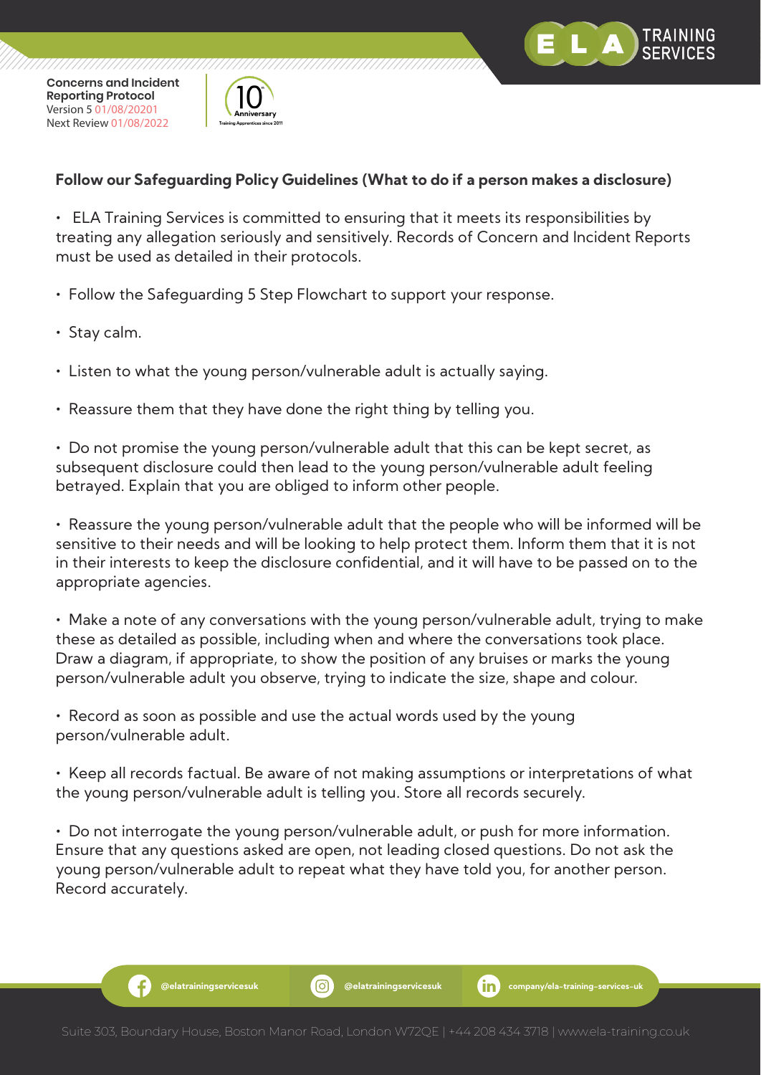



#### **Follow our Safeguarding Policy Guidelines (What to do if a person makes a disclosure)**

• ELA Training Services is committed to ensuring that it meets its responsibilities by treating any allegation seriously and sensitively. Records of Concern and Incident Reports must be used as detailed in their protocols.

- Follow the Safeguarding 5 Step Flowchart to support your response.
- Stay calm.
- Listen to what the young person/vulnerable adult is actually saying.
- Reassure them that they have done the right thing by telling you.

• Do not promise the young person/vulnerable adult that this can be kept secret, as subsequent disclosure could then lead to the young person/vulnerable adult feeling betrayed. Explain that you are obliged to inform other people.

• Reassure the young person/vulnerable adult that the people who will be informed will be sensitive to their needs and will be looking to help protect them. Inform them that it is not in their interests to keep the disclosure confidential, and it will have to be passed on to the appropriate agencies.

• Make a note of any conversations with the young person/vulnerable adult, trying to make these as detailed as possible, including when and where the conversations took place. Draw a diagram, if appropriate, to show the position of any bruises or marks the young person/vulnerable adult you observe, trying to indicate the size, shape and colour.

• Record as soon as possible and use the actual words used by the young person/vulnerable adult.

• Keep all records factual. Be aware of not making assumptions or interpretations of what the young person/vulnerable adult is telling you. Store all records securely.

• Do not interrogate the young person/vulnerable adult, or push for more information. Ensure that any questions asked are open, not leading closed questions. Do not ask the young person/vulnerable adult to repeat what they have told you, for another person. Record accurately.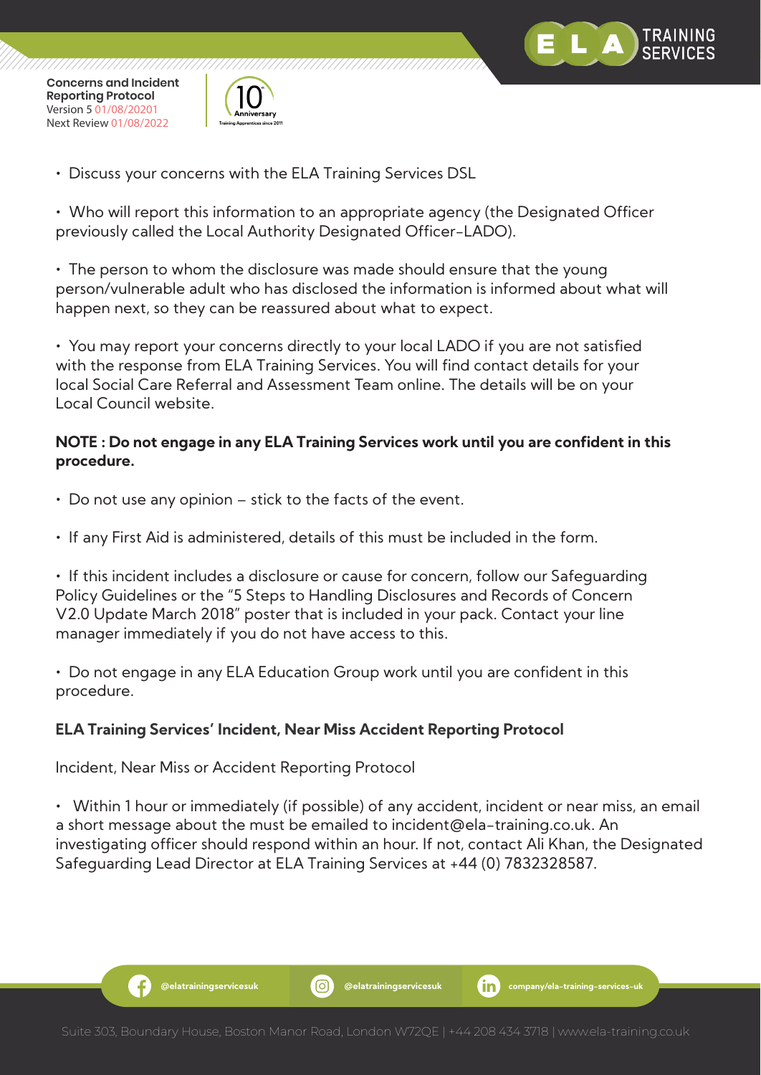



• Discuss your concerns with the ELA Training Services DSL

• Who will report this information to an appropriate agency (the Designated Officer previously called the Local Authority Designated Officer-LADO).

• The person to whom the disclosure was made should ensure that the young person/vulnerable adult who has disclosed the information is informed about what will happen next, so they can be reassured about what to expect.

• You may report your concerns directly to your local LADO if you are not satisfied with the response from ELA Training Services. You will find contact details for your local Social Care Referral and Assessment Team online. The details will be on your Local Council website.

#### **NOTE : Do not engage in any ELA Training Services work until you are confident in this procedure.**

- Do not use any opinion stick to the facts of the event.
- If any First Aid is administered, details of this must be included in the form.

• If this incident includes a disclosure or cause for concern, follow our Safeguarding Policy Guidelines or the "5 Steps to Handling Disclosures and Records of Concern V2.0 Update March 2018" poster that is included in your pack. Contact your line manager immediately if you do not have access to this.

• Do not engage in any ELA Education Group work until you are confident in this procedure.

#### **ELA Training Services' Incident, Near Miss Accident Reporting Protocol**

Incident, Near Miss or Accident Reporting Protocol

• Within 1 hour or immediately (if possible) of any accident, incident or near miss, an email a short message about the must be emailed to incident@ela-training.co.uk. An investigating officer should respond within an hour. If not, contact Ali Khan, the Designated Safeguarding Lead Director at ELA Training Services at +44 (0) 7832328587.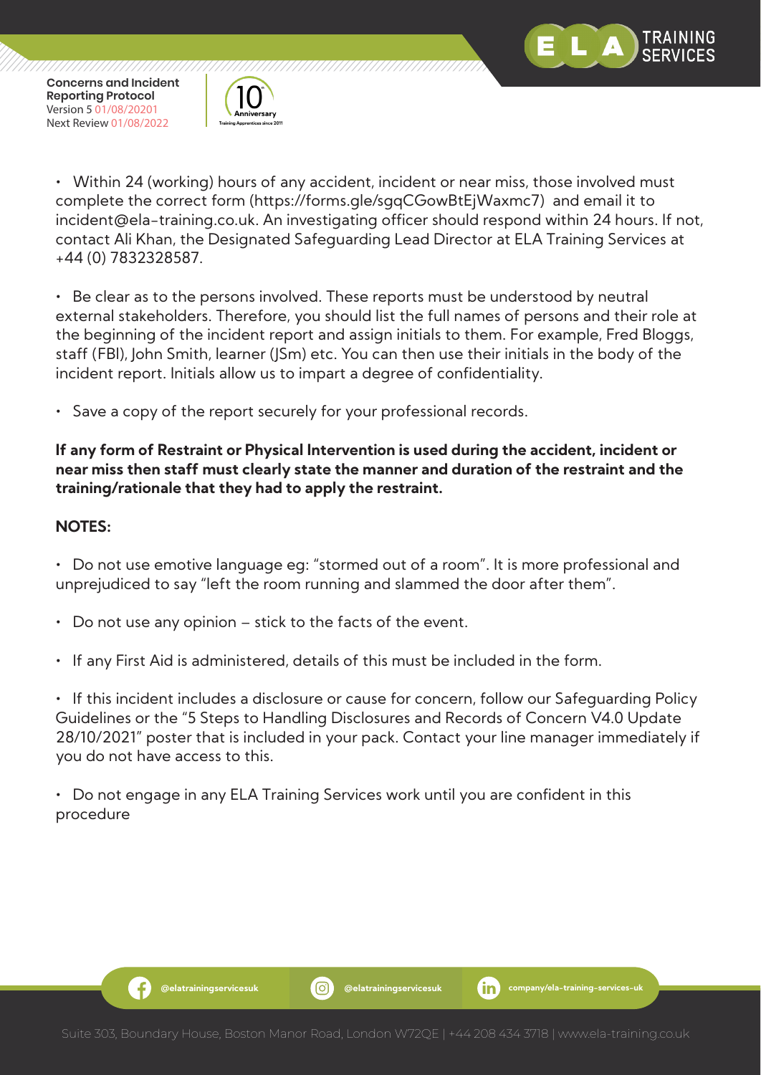



• Within 24 (working) hours of any accident, incident or near miss, those involved must complete the correct form (https://forms.gle/sgqCGowBtEjWaxmc7) and email it to incident@ela-training.co.uk. An investigating officer should respond within 24 hours. If not, contact Ali Khan, the Designated Safeguarding Lead Director at ELA Training Services at +44 (0) 7832328587.

• Be clear as to the persons involved. These reports must be understood by neutral external stakeholders. Therefore, you should list the full names of persons and their role at the beginning of the incident report and assign initials to them. For example, Fred Bloggs, staff (FBl), John Smith, learner (JSm) etc. You can then use their initials in the body of the incident report. Initials allow us to impart a degree of confidentiality.

Save a copy of the report securely for your professional records.

#### **If any form of Restraint or Physical Intervention is used during the accident, incident or near miss then staff must clearly state the manner and duration of the restraint and the training/rationale that they had to apply the restraint.**

#### **NOTES:**

Æ

• Do not use emotive language eg: "stormed out of a room". It is more professional and unprejudiced to say "left the room running and slammed the door after them".

- Do not use any opinion stick to the facts of the event.
- If any First Aid is administered, details of this must be included in the form.

• If this incident includes a disclosure or cause for concern, follow our Safeguarding Policy Guidelines or the "5 Steps to Handling Disclosures and Records of Concern V4.0 Update 28/10/2021" poster that is included in your pack. Contact your line manager immediately if you do not have access to this.

• Do not engage in any ELA Training Services work until you are confident in this procedure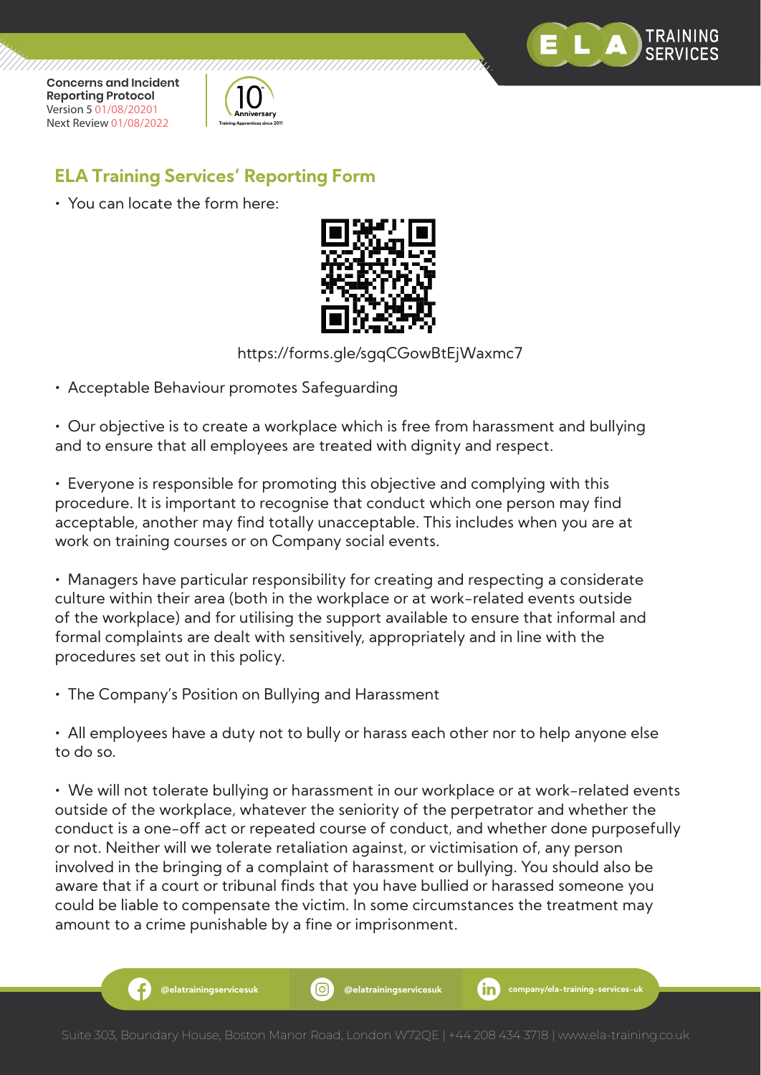



## **ELA Training Services' Reporting Form**

• You can locate the form here:



https://forms.gle/sgqCGowBtEjWaxmc7

• Acceptable Behaviour promotes Safeguarding

• Our objective is to create a workplace which is free from harassment and bullying and to ensure that all employees are treated with dignity and respect.

• Everyone is responsible for promoting this objective and complying with this procedure. It is important to recognise that conduct which one person may find acceptable, another may find totally unacceptable. This includes when you are at work on training courses or on Company social events.

• Managers have particular responsibility for creating and respecting a considerate culture within their area (both in the workplace or at work-related events outside of the workplace) and for utilising the support available to ensure that informal and formal complaints are dealt with sensitively, appropriately and in line with the procedures set out in this policy.

• The Company's Position on Bullying and Harassment

• All employees have a duty not to bully or harass each other nor to help anyone else to do so.

• We will not tolerate bullying or harassment in our workplace or at work-related events outside of the workplace, whatever the seniority of the perpetrator and whether the conduct is a one-off act or repeated course of conduct, and whether done purposefully or not. Neither will we tolerate retaliation against, or victimisation of, any person involved in the bringing of a complaint of harassment or bullying. You should also be aware that if a court or tribunal finds that you have bullied or harassed someone you could be liable to compensate the victim. In some circumstances the treatment may amount to a crime punishable by a fine or imprisonment.